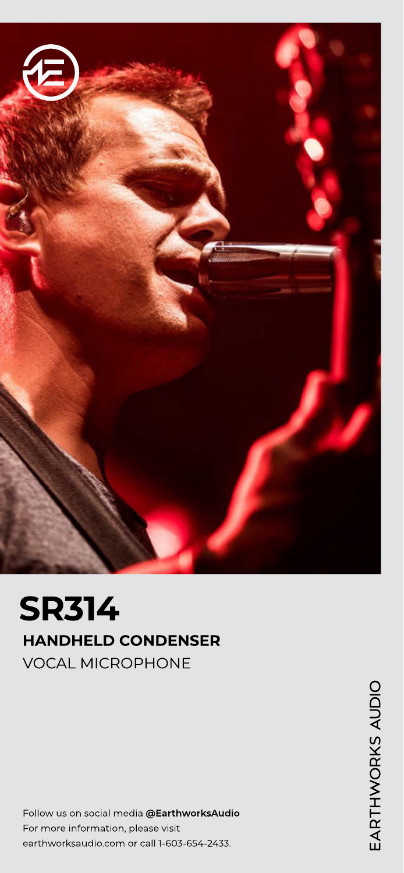

# SR314 HANDHELD CONDENSER VOCAL MICROPHONE

Follow us on social media @EarthworksAudio For more information, please visit earthworksaudio.com or call 1-603-654-2433.

EARTHWORKS AUDIO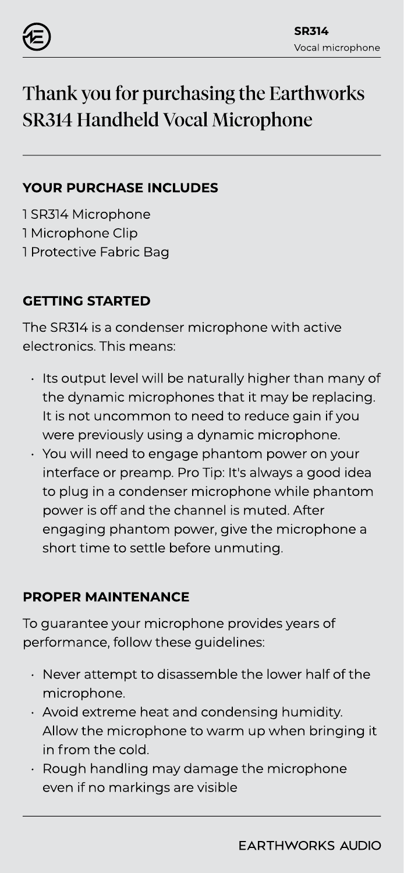

# Thank you for purchasing the Earthworks SR314 Handheld Vocal Microphone

### YOUR PURCHASE INCLUDES

1 SR314 Microphone 1 Microphone Clip 1 Protective Fabric Bag

# GETTING STARTED

The SR314 is a condenser microphone with active electronics. This means:

- Its output level will be naturally higher than many of the dynamic microphones that it may be replacing. It is not uncommon to need to reduce gain if you were previously using a dynamic microphone.
- You will need to engage phantom power on your interface or preamp. Pro Tip: It's always a good idea to plug in a condenser microphone while phantom power is off and the channel is muted. After engaging phantom power, give the microphone a short time to settle before unmuting.

# PROPER MAINTENANCE

To guarantee your microphone provides years of performance, follow these guidelines:

- Never attempt to disassemble the lower half of the microphone.
- $\cdot$  Avoid extreme heat and condensing humidity. Allow the microphone to warm up when bringing it in from the cold.
- Rough handling may damage the microphone even if no markings are visible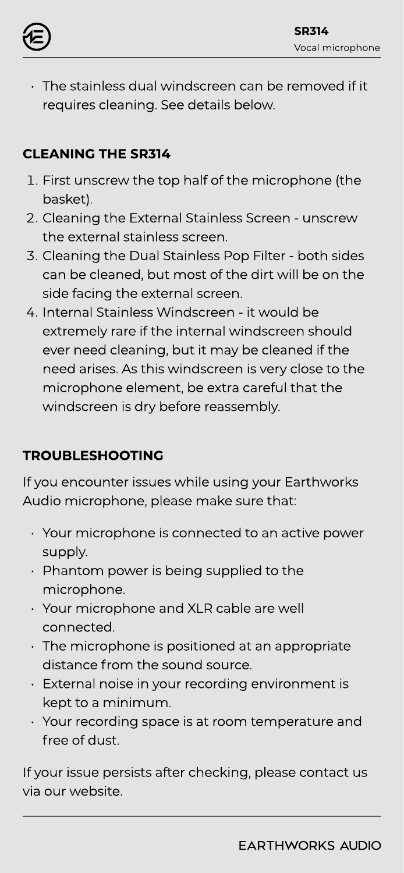

 The stainless dual windscreen can be removed if it requires cleaning. See details below.

# CLEANING THE SR314

- 1. First unscrew the top half of the microphone (the basket).
- 2. Cleaning the External Stainless Screen unscrew the external stainless screen.
- 3. Cleaning the Dual Stainless Pop Filter both sides can be cleaned, but most of the dirt will be on the side facing the external screen.
- 4. Internal Stainless Windscreen it would be extremely rare if the internal windscreen should ever need cleaning, but it may be cleaned if the need arises. As this windscreen is very close to the microphone element, be extra careful that the windscreen is dry before reassembly.

# TROUBLESHOOTING

If you encounter issues while using your Earthworks Audio microphone, please make sure that:

- Your microphone is connected to an active power supply.
- Phantom power is being supplied to the microphone.
- Your microphone and XLR cable are well connected.
- The microphone is positioned at an appropriate distance from the sound source.
- External noise in your recording environment is kept to a minimum.
- Your recording space is at room temperature and free of dust.

If your issue persists after checking, please contact us via our website.